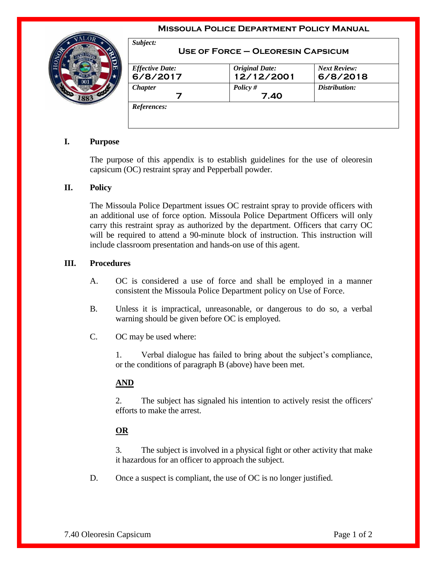#### **Missoula Police Department Policy Manual**



| <b>Effective Date:</b> | <b>Original Date:</b> | <b>Next Review:</b> |
|------------------------|-----------------------|---------------------|
| 6/8/2017               | 12/12/2001            | 6/8/2018            |
| <b>Chapter</b>         | Policy $#$            | Distribution:       |
|                        | 7.40                  |                     |

# **I. Purpose**

The purpose of this appendix is to establish guidelines for the use of oleoresin capsicum (OC) restraint spray and Pepperball powder.

### **II. Policy**

The Missoula Police Department issues OC restraint spray to provide officers with an additional use of force option. Missoula Police Department Officers will only carry this restraint spray as authorized by the department. Officers that carry OC will be required to attend a 90-minute block of instruction. This instruction will include classroom presentation and hands-on use of this agent.

### **III. Procedures**

- A. OC is considered a use of force and shall be employed in a manner consistent the Missoula Police Department policy on Use of Force.
- B. Unless it is impractical, unreasonable, or dangerous to do so, a verbal warning should be given before OC is employed.
- C. OC may be used where:

1. Verbal dialogue has failed to bring about the subject's compliance, or the conditions of paragraph B (above) have been met.

## **AND**

2. The subject has signaled his intention to actively resist the officers' efforts to make the arrest.

## **OR**

3. The subject is involved in a physical fight or other activity that make it hazardous for an officer to approach the subject.

D. Once a suspect is compliant, the use of OC is no longer justified.